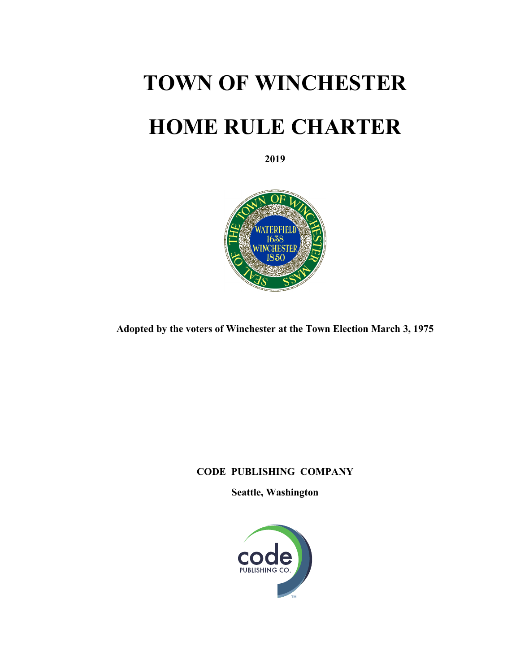# **TOWN OF WINCHESTER**

# **HOME RULE CHARTER**

**2019** 



**Adopted by the voters of Winchester at the Town Election March 3, 1975** 

# **CODE PUBLISHING COMPANY**

**Seattle, Washington** 

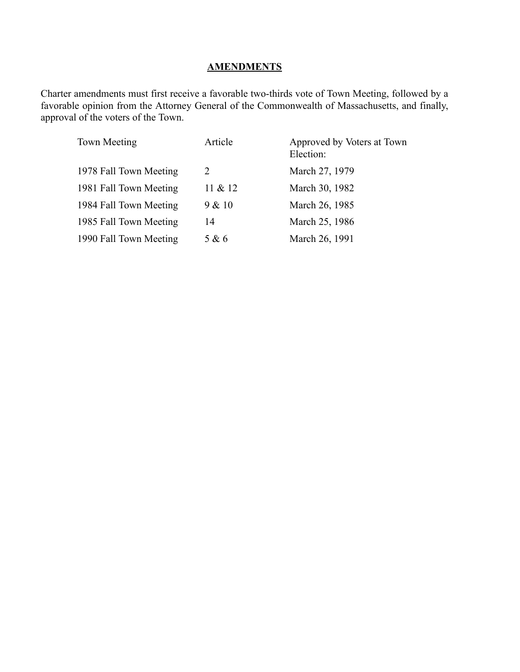# **AMENDMENTS**

Charter amendments must first receive a favorable two-thirds vote of Town Meeting, followed by a favorable opinion from the Attorney General of the Commonwealth of Massachusetts, and finally, approval of the voters of the Town.

| <b>Town Meeting</b>    | Article  | Approved by Voters at Town<br>Election: |
|------------------------|----------|-----------------------------------------|
| 1978 Fall Town Meeting | 2        | March 27, 1979                          |
| 1981 Fall Town Meeting | 11 & 212 | March 30, 1982                          |
| 1984 Fall Town Meeting | 9 & 10   | March 26, 1985                          |
| 1985 Fall Town Meeting | 14       | March 25, 1986                          |
| 1990 Fall Town Meeting | 5 & 6    | March 26, 1991                          |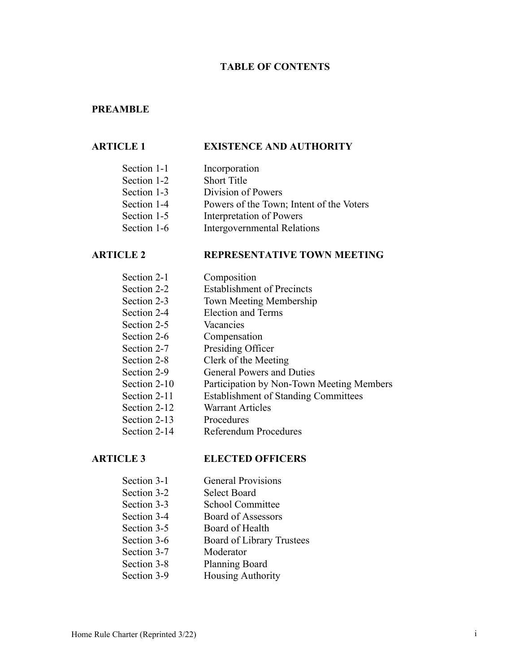### **TABLE OF CONTENTS**

### **PREAMBLE**

#### **ARTICLE 1 EXISTENCE AND AUTHORITY**

- Section 1-1 Incorporation
- Section 1-2 Short Title
- Section 1-3 Division of Powers
- Section 1-4 Powers of the Town; Intent of the Voters
- Section 1-5 Interpretation of Powers
- Section 1-6 Intergovernmental Relations

### **ARTICLE 2**

# **REPRESENTATIVE TOWN MEETING**

Section 2-1 Section 2-2 Section 2-3 Section 2-4 Section 2-5 Section 2-6 Section 2-7 Section 2-8 Section 2-9 Section 2-10 Section 2-11 Section 2-12 Section 2-13 Section 2-14 Composition Establishment of Precincts Town Meeting Membership Election and Terms Vacancies Compensation Presiding Officer Clerk of the Meeting General Powers and Duties Participation by Non-Town Meeting Members Establishment of Standing Committees Warrant Articles Procedures Referendum Procedures

### **ARTICLE 3**

# **ELECTED OFFICERS**

- Section 3-1 General Provisions
- Section 3-2 Select Board
- Section 3-3 School Committee
- Section 3-4 Board of Assessors
- Section 3-5 Board of Health
- Section 3-6 Board of Library Trustees
- Section 3-7 Moderator
- Section 3-8 Planning Board
- Section 3-9 Housing Authority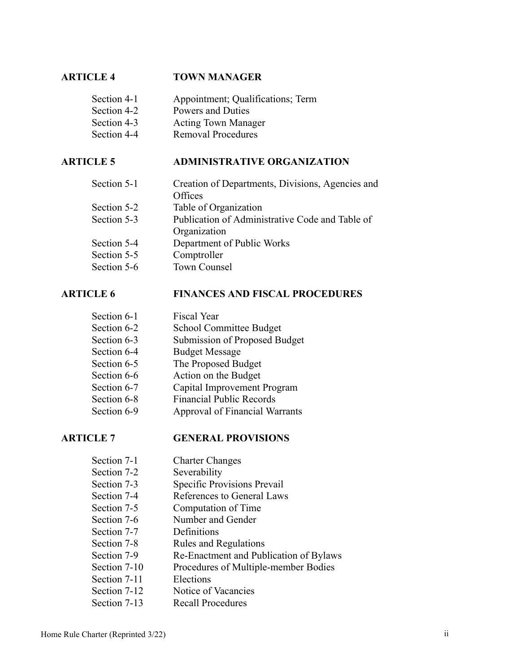### **ARTICLE 4 TOWN MANAGER**

| Section 4-1 | Appointment; Qualifications; Term |
|-------------|-----------------------------------|
| Section 4-2 | Powers and Duties                 |
| Section 4-3 | <b>Acting Town Manager</b>        |
| Section 4-4 | <b>Removal Procedures</b>         |

### **ARTICLE 5 ADMINISTRATIVE ORGANIZATION**

| Section 5-1 | Creation of Departments, Divisions, Agencies and |
|-------------|--------------------------------------------------|
|             | Offices                                          |
| Section 5-2 | Table of Organization                            |
| Section 5-3 | Publication of Administrative Code and Table of  |
|             | Organization                                     |
| Section 5-4 | Department of Public Works                       |
| Section 5-5 | Comptroller                                      |
| Section 5-6 | <b>Town Counsel</b>                              |
|             |                                                  |

#### **ARTICLE 6 FINANCES AND FISCAL PROCEDURES**

| Section 6-1 | <b>Fiscal Year</b>                    |
|-------------|---------------------------------------|
| Section 6-2 | School Committee Budget               |
| Section 6-3 | Submission of Proposed Budget         |
| Section 6-4 | <b>Budget Message</b>                 |
| Section 6-5 | The Proposed Budget                   |
| Section 6-6 | Action on the Budget                  |
| Section 6-7 | Capital Improvement Program           |
| Section 6-8 | <b>Financial Public Records</b>       |
| Section 6-9 | <b>Approval of Financial Warrants</b> |

### **ARTICLE 7**

### **GENERAL PROVISIONS**

- Section 7-1 Charter Changes
- Section 7-2 Severability
- Section 7-3 Specific Provisions Prevail
- Section 7-4 References to General Laws
- Section 7-5 Computation of Time
- Section 7-6 Number and Gender
- Section 7-7 Definitions
- Section 7-8 Rules and Regulations
- Section 7-9 Re-Enactment and Publication of Bylaws
- Section 7-10 Procedures of Multiple-member Bodies
- Section 7-11 Elections
- Section 7-12 Notice of Vacancies
- Section 7-13 Recall Procedures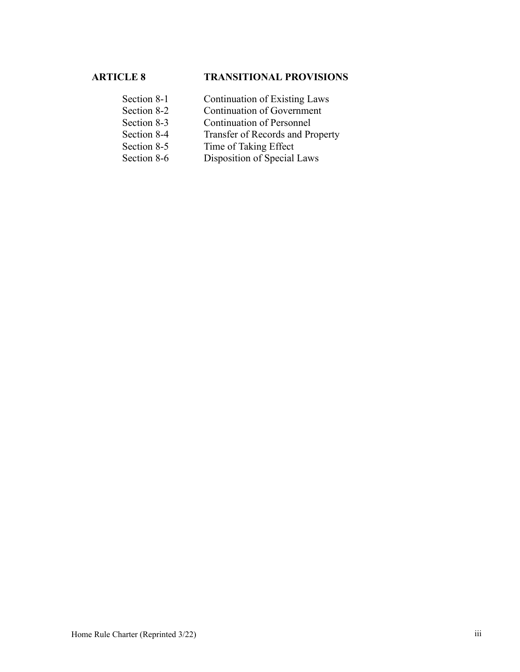# **TRANSITIONAL PROVISIONS**

- Section 8-1 Section 8-2 Continuation of Existing Laws Continuation of Government
	- Continuation of Personnel
- Section 8-3
- Section 8-4 Transfer of Records and Property
- Section 8-5 Time of Taking Effect
- Section 8-6 Disposition of Special Laws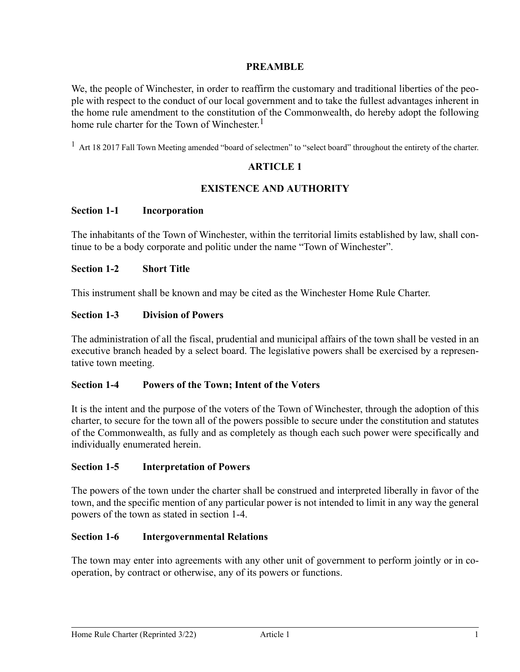# **PREAMBLE**

We, the people of Winchester, in order to reaffirm the customary and traditional liberties of the people with respect to the conduct of our local government and to take the fullest advantages inherent in the home rule amendment to the constitution of the Commonwealth, do hereby adopt the following home rule charter for the Town of Winchester.<sup>1</sup>

<sup>1</sup> Art 18 2017 Fall Town Meeting amended "board of selectmen" to "select board" throughout the entirety of the charter.

# **ARTICLE 1**

# **EXISTENCE AND AUTHORITY**

### **Section 1-1 Incorporation**

The inhabitants of the Town of Winchester, within the territorial limits established by law, shall continue to be a body corporate and politic under the name "Town of Winchester".

### **Section 1-2 Short Title**

This instrument shall be known and may be cited as the Winchester Home Rule Charter.

### **Section 1-3 Division of Powers**

The administration of all the fiscal, prudential and municipal affairs of the town shall be vested in an executive branch headed by a select board. The legislative powers shall be exercised by a representative town meeting.

### **Section 1-4 Powers of the Town; Intent of the Voters**

It is the intent and the purpose of the voters of the Town of Winchester, through the adoption of this charter, to secure for the town all of the powers possible to secure under the constitution and statutes of the Commonwealth, as fully and as completely as though each such power were specifically and individually enumerated herein.

### **Section 1-5 Interpretation of Powers**

The powers of the town under the charter shall be construed and interpreted liberally in favor of the town, and the specific mention of any particular power is not intended to limit in any way the general powers of the town as stated in section 1-4.

### **Section 1-6 Intergovernmental Relations**

The town may enter into agreements with any other unit of government to perform jointly or in cooperation, by contract or otherwise, any of its powers or functions.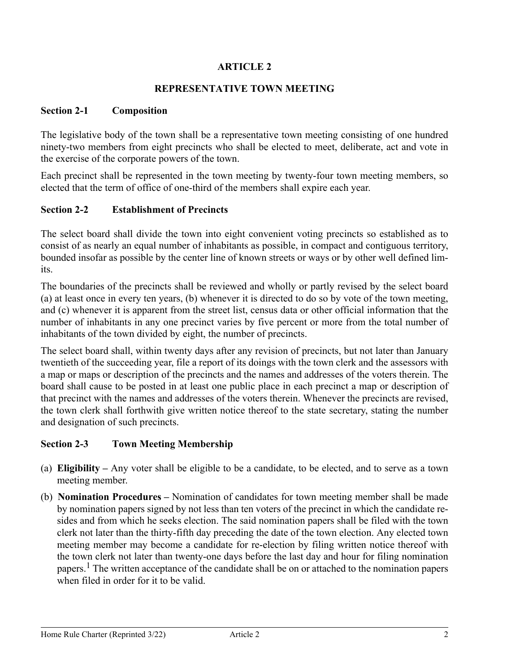# **REPRESENTATIVE TOWN MEETING**

### **Section 2-1 Composition**

The legislative body of the town shall be a representative town meeting consisting of one hundred ninety-two members from eight precincts who shall be elected to meet, deliberate, act and vote in the exercise of the corporate powers of the town.

Each precinct shall be represented in the town meeting by twenty-four town meeting members, so elected that the term of office of one-third of the members shall expire each year.

### **Section 2-2 Establishment of Precincts**

The select board shall divide the town into eight convenient voting precincts so established as to consist of as nearly an equal number of inhabitants as possible, in compact and contiguous territory, bounded insofar as possible by the center line of known streets or ways or by other well defined limits.

The boundaries of the precincts shall be reviewed and wholly or partly revised by the select board (a) at least once in every ten years, (b) whenever it is directed to do so by vote of the town meeting, and (c) whenever it is apparent from the street list, census data or other official information that the number of inhabitants in any one precinct varies by five percent or more from the total number of inhabitants of the town divided by eight, the number of precincts.

The select board shall, within twenty days after any revision of precincts, but not later than January twentieth of the succeeding year, file a report of its doings with the town clerk and the assessors with a map or maps or description of the precincts and the names and addresses of the voters therein. The board shall cause to be posted in at least one public place in each precinct a map or description of that precinct with the names and addresses of the voters therein. Whenever the precincts are revised, the town clerk shall forthwith give written notice thereof to the state secretary, stating the number and designation of such precincts.

### **Section 2-3 Town Meeting Membership**

- (a) **Eligibility** Any voter shall be eligible to be a candidate, to be elected, and to serve as a town meeting member.
- (b) **Nomination Procedures** Nomination of candidates for town meeting member shall be made by nomination papers signed by not less than ten voters of the precinct in which the candidate resides and from which he seeks election. The said nomination papers shall be filed with the town clerk not later than the thirty-fifth day preceding the date of the town election. Any elected town meeting member may become a candidate for re-election by filing written notice thereof with the town clerk not later than twenty-one days before the last day and hour for filing nomination papers.<sup>1</sup> The written acceptance of the candidate shall be on or attached to the nomination papers when filed in order for it to be valid.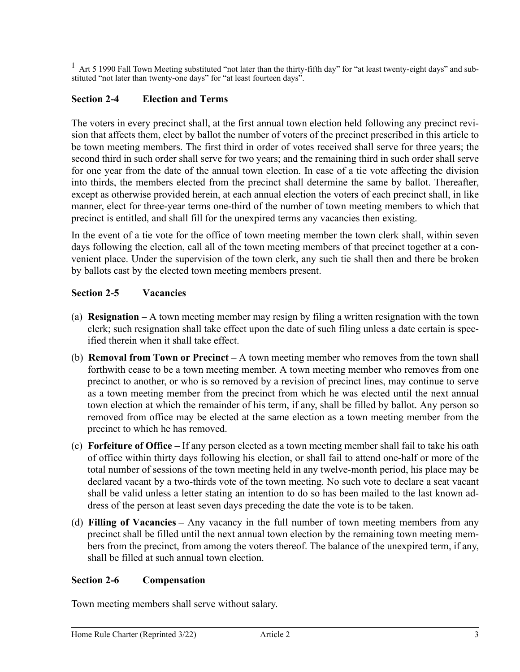$1$  Art 5 1990 Fall Town Meeting substituted "not later than the thirty-fifth day" for "at least twenty-eight days" and substituted "not later than twenty-one days" for "at least fourteen days".

### **Section 2-4 Election and Terms**

The voters in every precinct shall, at the first annual town election held following any precinct revision that affects them, elect by ballot the number of voters of the precinct prescribed in this article to be town meeting members. The first third in order of votes received shall serve for three years; the second third in such order shall serve for two years; and the remaining third in such order shall serve for one year from the date of the annual town election. In case of a tie vote affecting the division into thirds, the members elected from the precinct shall determine the same by ballot. Thereafter, except as otherwise provided herein, at each annual election the voters of each precinct shall, in like manner, elect for three-year terms one-third of the number of town meeting members to which that precinct is entitled, and shall fill for the unexpired terms any vacancies then existing.

In the event of a tie vote for the office of town meeting member the town clerk shall, within seven days following the election, call all of the town meeting members of that precinct together at a convenient place. Under the supervision of the town clerk, any such tie shall then and there be broken by ballots cast by the elected town meeting members present.

#### **Section 2-5 Vacancies**

- (a) **Resignation** A town meeting member may resign by filing a written resignation with the town clerk; such resignation shall take effect upon the date of such filing unless a date certain is specified therein when it shall take effect.
- (b) **Removal from Town or Precinct** A town meeting member who removes from the town shall forthwith cease to be a town meeting member. A town meeting member who removes from one precinct to another, or who is so removed by a revision of precinct lines, may continue to serve as a town meeting member from the precinct from which he was elected until the next annual town election at which the remainder of his term, if any, shall be filled by ballot. Any person so removed from office may be elected at the same election as a town meeting member from the precinct to which he has removed.
- (c) **Forfeiture of Office** If any person elected as a town meeting member shall fail to take his oath of office within thirty days following his election, or shall fail to attend one-half or more of the total number of sessions of the town meeting held in any twelve-month period, his place may be declared vacant by a two-thirds vote of the town meeting. No such vote to declare a seat vacant shall be valid unless a letter stating an intention to do so has been mailed to the last known address of the person at least seven days preceding the date the vote is to be taken.
- (d) **Filling of Vacancies** Any vacancy in the full number of town meeting members from any precinct shall be filled until the next annual town election by the remaining town meeting members from the precinct, from among the voters thereof. The balance of the unexpired term, if any, shall be filled at such annual town election.

#### **Section 2-6 Compensation**

Town meeting members shall serve without salary.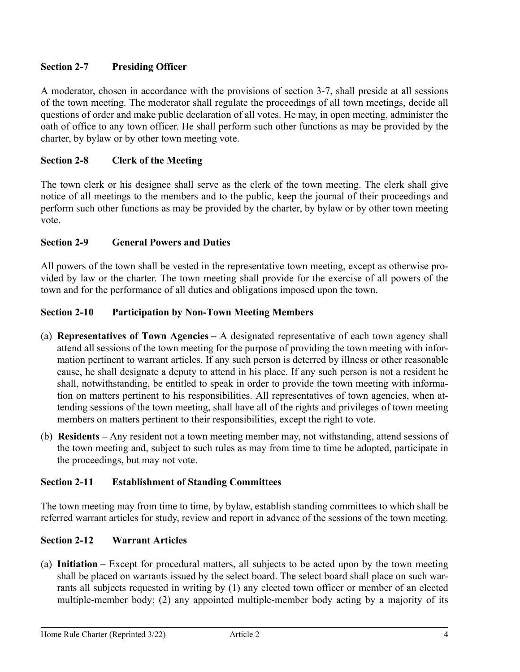### **Section 2-7 Presiding Officer**

A moderator, chosen in accordance with the provisions of section 3-7, shall preside at all sessions of the town meeting. The moderator shall regulate the proceedings of all town meetings, decide all questions of order and make public declaration of all votes. He may, in open meeting, administer the oath of office to any town officer. He shall perform such other functions as may be provided by the charter, by bylaw or by other town meeting vote.

### **Section 2-8 Clerk of the Meeting**

The town clerk or his designee shall serve as the clerk of the town meeting. The clerk shall give notice of all meetings to the members and to the public, keep the journal of their proceedings and perform such other functions as may be provided by the charter, by bylaw or by other town meeting vote.

### **Section 2-9 General Powers and Duties**

All powers of the town shall be vested in the representative town meeting, except as otherwise provided by law or the charter. The town meeting shall provide for the exercise of all powers of the town and for the performance of all duties and obligations imposed upon the town.

### **Section 2-10 Participation by Non-Town Meeting Members**

- (a) **Representatives of Town Agencies** A designated representative of each town agency shall attend all sessions of the town meeting for the purpose of providing the town meeting with information pertinent to warrant articles. If any such person is deterred by illness or other reasonable cause, he shall designate a deputy to attend in his place. If any such person is not a resident he shall, notwithstanding, be entitled to speak in order to provide the town meeting with information on matters pertinent to his responsibilities. All representatives of town agencies, when attending sessions of the town meeting, shall have all of the rights and privileges of town meeting members on matters pertinent to their responsibilities, except the right to vote.
- (b) **Residents** Any resident not a town meeting member may, not withstanding, attend sessions of the town meeting and, subject to such rules as may from time to time be adopted, participate in the proceedings, but may not vote.

### **Section 2-11 Establishment of Standing Committees**

The town meeting may from time to time, by bylaw, establish standing committees to which shall be referred warrant articles for study, review and report in advance of the sessions of the town meeting.

### **Section 2-12 Warrant Articles**

(a) **Initiation –** Except for procedural matters, all subjects to be acted upon by the town meeting shall be placed on warrants issued by the select board. The select board shall place on such warrants all subjects requested in writing by (1) any elected town officer or member of an elected multiple-member body; (2) any appointed multiple-member body acting by a majority of its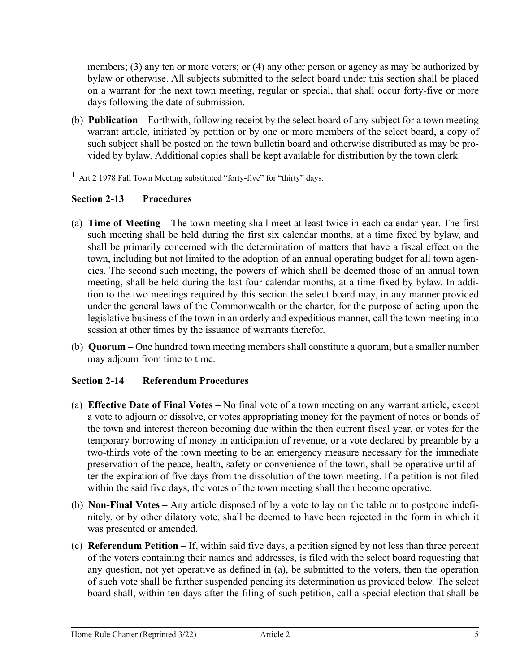members; (3) any ten or more voters; or (4) any other person or agency as may be authorized by bylaw or otherwise. All subjects submitted to the select board under this section shall be placed on a warrant for the next town meeting, regular or special, that shall occur forty-five or more days following the date of submission.<sup>1</sup>

- (b) **Publication** Forthwith, following receipt by the select board of any subject for a town meeting warrant article, initiated by petition or by one or more members of the select board, a copy of such subject shall be posted on the town bulletin board and otherwise distributed as may be provided by bylaw. Additional copies shall be kept available for distribution by the town clerk.
- $1$  Art 2 1978 Fall Town Meeting substituted "forty-five" for "thirty" days.

### **Section 2-13 Procedures**

- (a) **Time of Meeting** The town meeting shall meet at least twice in each calendar year. The first such meeting shall be held during the first six calendar months, at a time fixed by bylaw, and shall be primarily concerned with the determination of matters that have a fiscal effect on the town, including but not limited to the adoption of an annual operating budget for all town agencies. The second such meeting, the powers of which shall be deemed those of an annual town meeting, shall be held during the last four calendar months, at a time fixed by bylaw. In addition to the two meetings required by this section the select board may, in any manner provided under the general laws of the Commonwealth or the charter, for the purpose of acting upon the legislative business of the town in an orderly and expeditious manner, call the town meeting into session at other times by the issuance of warrants therefor.
- (b) **Quorum** One hundred town meeting members shall constitute a quorum, but a smaller number may adjourn from time to time.

### **Section 2-14 Referendum Procedures**

- (a) **Effective Date of Final Votes** No final vote of a town meeting on any warrant article, except a vote to adjourn or dissolve, or votes appropriating money for the payment of notes or bonds of the town and interest thereon becoming due within the then current fiscal year, or votes for the temporary borrowing of money in anticipation of revenue, or a vote declared by preamble by a two-thirds vote of the town meeting to be an emergency measure necessary for the immediate preservation of the peace, health, safety or convenience of the town, shall be operative until after the expiration of five days from the dissolution of the town meeting. If a petition is not filed within the said five days, the votes of the town meeting shall then become operative.
- (b) **Non-Final Votes** Any article disposed of by a vote to lay on the table or to postpone indefinitely, or by other dilatory vote, shall be deemed to have been rejected in the form in which it was presented or amended.
- (c) **Referendum Petition** If, within said five days, a petition signed by not less than three percent of the voters containing their names and addresses, is filed with the select board requesting that any question, not yet operative as defined in (a), be submitted to the voters, then the operation of such vote shall be further suspended pending its determination as provided below. The select board shall, within ten days after the filing of such petition, call a special election that shall be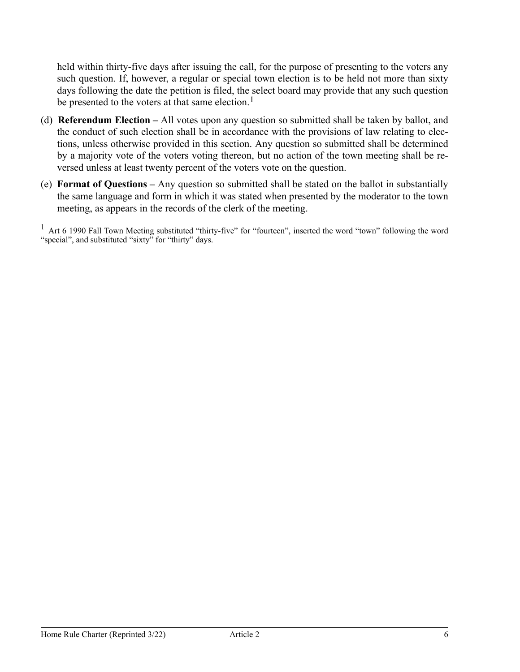held within thirty-five days after issuing the call, for the purpose of presenting to the voters any such question. If, however, a regular or special town election is to be held not more than sixty days following the date the petition is filed, the select board may provide that any such question be presented to the voters at that same election.<sup>1</sup>

- (d) **Referendum Election** All votes upon any question so submitted shall be taken by ballot, and the conduct of such election shall be in accordance with the provisions of law relating to elections, unless otherwise provided in this section. Any question so submitted shall be determined by a majority vote of the voters voting thereon, but no action of the town meeting shall be reversed unless at least twenty percent of the voters vote on the question.
- (e) **Format of Questions** Any question so submitted shall be stated on the ballot in substantially the same language and form in which it was stated when presented by the moderator to the town meeting, as appears in the records of the clerk of the meeting.

<sup>1</sup> Art 6 1990 Fall Town Meeting substituted "thirty-five" for "fourteen", inserted the word "town" following the word "special", and substituted "sixty" for "thirty" days.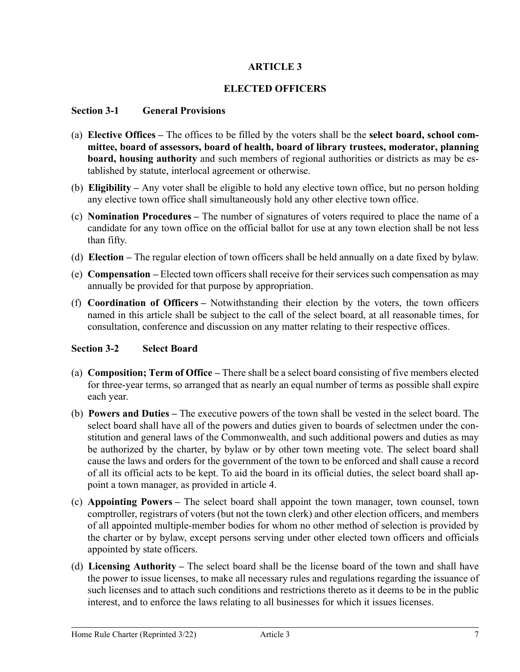# **ELECTED OFFICERS**

### **Section 3-1 General Provisions**

- (a) **Elective Offices** The offices to be filled by the voters shall be the **select board, school committee, board of assessors, board of health, board of library trustees, moderator, planning board, housing authority** and such members of regional authorities or districts as may be established by statute, interlocal agreement or otherwise.
- (b) **Eligibility** Any voter shall be eligible to hold any elective town office, but no person holding any elective town office shall simultaneously hold any other elective town office.
- (c) **Nomination Procedures** The number of signatures of voters required to place the name of a candidate for any town office on the official ballot for use at any town election shall be not less than fifty.
- (d) **Election** The regular election of town officers shall be held annually on a date fixed by bylaw.
- (e) **Compensation** Elected town officers shall receive for their services such compensation as may annually be provided for that purpose by appropriation.
- (f) **Coordination of Officers** Notwithstanding their election by the voters, the town officers named in this article shall be subject to the call of the select board, at all reasonable times, for consultation, conference and discussion on any matter relating to their respective offices.

### **Section 3-2 Select Board**

- (a) **Composition; Term of Office** There shall be a select board consisting of five members elected for three-year terms, so arranged that as nearly an equal number of terms as possible shall expire each year.
- (b) **Powers and Duties** The executive powers of the town shall be vested in the select board. The select board shall have all of the powers and duties given to boards of selectmen under the constitution and general laws of the Commonwealth, and such additional powers and duties as may be authorized by the charter, by bylaw or by other town meeting vote. The select board shall cause the laws and orders for the government of the town to be enforced and shall cause a record of all its official acts to be kept. To aid the board in its official duties, the select board shall appoint a town manager, as provided in article 4.
- (c) **Appointing Powers** The select board shall appoint the town manager, town counsel, town comptroller, registrars of voters (but not the town clerk) and other election officers, and members of all appointed multiple-member bodies for whom no other method of selection is provided by the charter or by bylaw, except persons serving under other elected town officers and officials appointed by state officers.
- (d) **Licensing Authority** The select board shall be the license board of the town and shall have the power to issue licenses, to make all necessary rules and regulations regarding the issuance of such licenses and to attach such conditions and restrictions thereto as it deems to be in the public interest, and to enforce the laws relating to all businesses for which it issues licenses.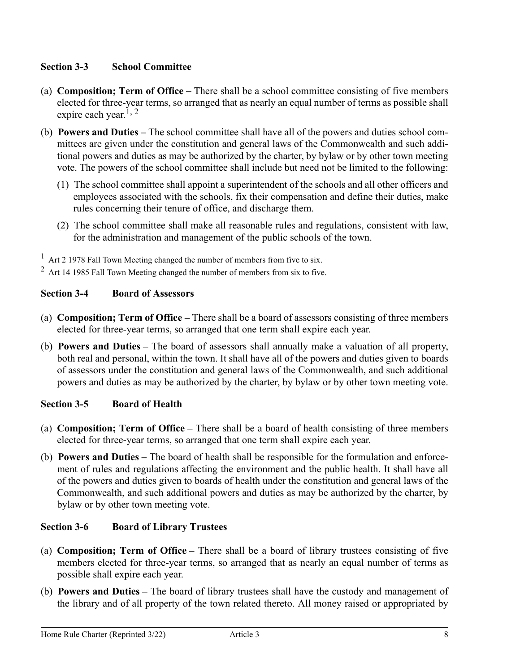### **Section 3-3 School Committee**

- (a) **Composition; Term of Office** There shall be a school committee consisting of five members elected for three-year terms, so arranged that as nearly an equal number of terms as possible shall expire each year.<sup>1, 2</sup>
- (b) **Powers and Duties** The school committee shall have all of the powers and duties school committees are given under the constitution and general laws of the Commonwealth and such additional powers and duties as may be authorized by the charter, by bylaw or by other town meeting vote. The powers of the school committee shall include but need not be limited to the following:
	- (1) The school committee shall appoint a superintendent of the schools and all other officers and employees associated with the schools, fix their compensation and define their duties, make rules concerning their tenure of office, and discharge them.
	- (2) The school committee shall make all reasonable rules and regulations, consistent with law, for the administration and management of the public schools of the town.

 $1$  Art 2 1978 Fall Town Meeting changed the number of members from five to six.

 $^{2}$  Art 14 1985 Fall Town Meeting changed the number of members from six to five.

### **Section 3-4 Board of Assessors**

- (a) **Composition; Term of Office** There shall be a board of assessors consisting of three members elected for three-year terms, so arranged that one term shall expire each year.
- (b) **Powers and Duties** The board of assessors shall annually make a valuation of all property, both real and personal, within the town. It shall have all of the powers and duties given to boards of assessors under the constitution and general laws of the Commonwealth, and such additional powers and duties as may be authorized by the charter, by bylaw or by other town meeting vote.

### **Section 3-5 Board of Health**

- (a) **Composition; Term of Office** There shall be a board of health consisting of three members elected for three-year terms, so arranged that one term shall expire each year.
- (b) **Powers and Duties** The board of health shall be responsible for the formulation and enforcement of rules and regulations affecting the environment and the public health. It shall have all of the powers and duties given to boards of health under the constitution and general laws of the Commonwealth, and such additional powers and duties as may be authorized by the charter, by bylaw or by other town meeting vote.

### **Section 3-6 Board of Library Trustees**

- (a) **Composition; Term of Office** There shall be a board of library trustees consisting of five members elected for three-year terms, so arranged that as nearly an equal number of terms as possible shall expire each year.
- (b) **Powers and Duties** The board of library trustees shall have the custody and management of the library and of all property of the town related thereto. All money raised or appropriated by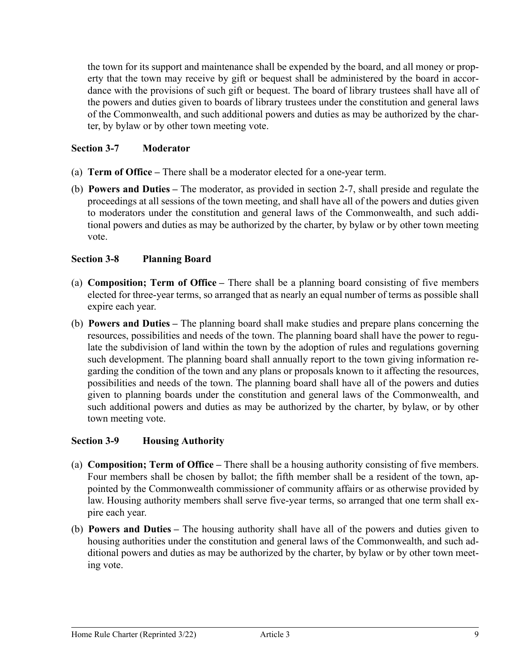the town for its support and maintenance shall be expended by the board, and all money or property that the town may receive by gift or bequest shall be administered by the board in accordance with the provisions of such gift or bequest. The board of library trustees shall have all of the powers and duties given to boards of library trustees under the constitution and general laws of the Commonwealth, and such additional powers and duties as may be authorized by the charter, by bylaw or by other town meeting vote.

### **Section 3-7 Moderator**

- (a) **Term of Office** There shall be a moderator elected for a one-year term.
- (b) **Powers and Duties** The moderator, as provided in section 2-7, shall preside and regulate the proceedings at all sessions of the town meeting, and shall have all of the powers and duties given to moderators under the constitution and general laws of the Commonwealth, and such additional powers and duties as may be authorized by the charter, by bylaw or by other town meeting vote.

### **Section 3-8 Planning Board**

- (a) **Composition; Term of Office** There shall be a planning board consisting of five members elected for three-year terms, so arranged that as nearly an equal number of terms as possible shall expire each year.
- (b) **Powers and Duties** The planning board shall make studies and prepare plans concerning the resources, possibilities and needs of the town. The planning board shall have the power to regulate the subdivision of land within the town by the adoption of rules and regulations governing such development. The planning board shall annually report to the town giving information regarding the condition of the town and any plans or proposals known to it affecting the resources, possibilities and needs of the town. The planning board shall have all of the powers and duties given to planning boards under the constitution and general laws of the Commonwealth, and such additional powers and duties as may be authorized by the charter, by bylaw, or by other town meeting vote.

### **Section 3-9 Housing Authority**

- (a) **Composition; Term of Office** There shall be a housing authority consisting of five members. Four members shall be chosen by ballot; the fifth member shall be a resident of the town, appointed by the Commonwealth commissioner of community affairs or as otherwise provided by law. Housing authority members shall serve five-year terms, so arranged that one term shall expire each year.
- (b) **Powers and Duties** The housing authority shall have all of the powers and duties given to housing authorities under the constitution and general laws of the Commonwealth, and such additional powers and duties as may be authorized by the charter, by bylaw or by other town meeting vote.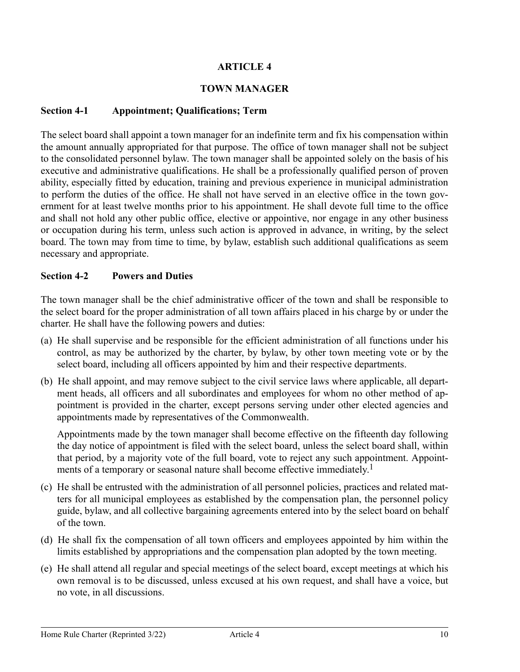### **TOWN MANAGER**

#### **Section 4-1 Appointment; Qualifications; Term**

The select board shall appoint a town manager for an indefinite term and fix his compensation within the amount annually appropriated for that purpose. The office of town manager shall not be subject to the consolidated personnel bylaw. The town manager shall be appointed solely on the basis of his executive and administrative qualifications. He shall be a professionally qualified person of proven ability, especially fitted by education, training and previous experience in municipal administration to perform the duties of the office. He shall not have served in an elective office in the town government for at least twelve months prior to his appointment. He shall devote full time to the office and shall not hold any other public office, elective or appointive, nor engage in any other business or occupation during his term, unless such action is approved in advance, in writing, by the select board. The town may from time to time, by bylaw, establish such additional qualifications as seem necessary and appropriate.

#### **Section 4-2 Powers and Duties**

The town manager shall be the chief administrative officer of the town and shall be responsible to the select board for the proper administration of all town affairs placed in his charge by or under the charter. He shall have the following powers and duties:

- (a) He shall supervise and be responsible for the efficient administration of all functions under his control, as may be authorized by the charter, by bylaw, by other town meeting vote or by the select board, including all officers appointed by him and their respective departments.
- (b) He shall appoint, and may remove subject to the civil service laws where applicable, all department heads, all officers and all subordinates and employees for whom no other method of appointment is provided in the charter, except persons serving under other elected agencies and appointments made by representatives of the Commonwealth.

Appointments made by the town manager shall become effective on the fifteenth day following the day notice of appointment is filed with the select board, unless the select board shall, within that period, by a majority vote of the full board, vote to reject any such appointment. Appointments of a temporary or seasonal nature shall become effective immediately. 1

- (c) He shall be entrusted with the administration of all personnel policies, practices and related matters for all municipal employees as established by the compensation plan, the personnel policy guide, bylaw, and all collective bargaining agreements entered into by the select board on behalf of the town.
- (d) He shall fix the compensation of all town officers and employees appointed by him within the limits established by appropriations and the compensation plan adopted by the town meeting.
- (e) He shall attend all regular and special meetings of the select board, except meetings at which his own removal is to be discussed, unless excused at his own request, and shall have a voice, but no vote, in all discussions.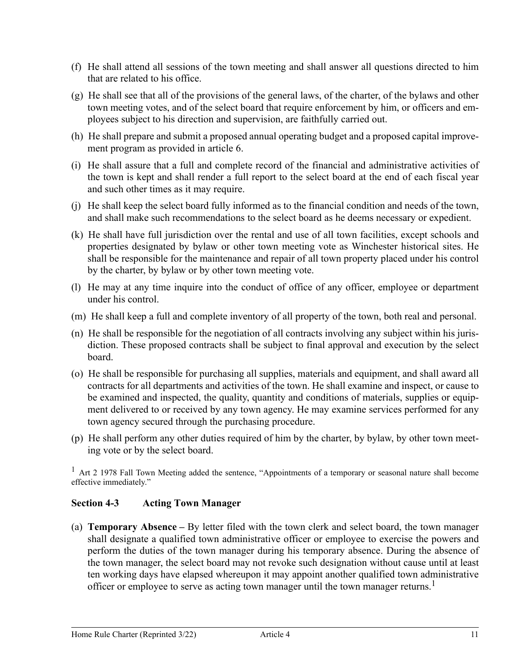- (f) He shall attend all sessions of the town meeting and shall answer all questions directed to him that are related to his office.
- (g) He shall see that all of the provisions of the general laws, of the charter, of the bylaws and other town meeting votes, and of the select board that require enforcement by him, or officers and employees subject to his direction and supervision, are faithfully carried out.
- (h) He shall prepare and submit a proposed annual operating budget and a proposed capital improvement program as provided in article 6.
- (i) He shall assure that a full and complete record of the financial and administrative activities of the town is kept and shall render a full report to the select board at the end of each fiscal year and such other times as it may require.
- (j) He shall keep the select board fully informed as to the financial condition and needs of the town, and shall make such recommendations to the select board as he deems necessary or expedient.
- (k) He shall have full jurisdiction over the rental and use of all town facilities, except schools and properties designated by bylaw or other town meeting vote as Winchester historical sites. He shall be responsible for the maintenance and repair of all town property placed under his control by the charter, by bylaw or by other town meeting vote.
- (l) He may at any time inquire into the conduct of office of any officer, employee or department under his control.
- (m) He shall keep a full and complete inventory of all property of the town, both real and personal.
- (n) He shall be responsible for the negotiation of all contracts involving any subject within his jurisdiction. These proposed contracts shall be subject to final approval and execution by the select board.
- (o) He shall be responsible for purchasing all supplies, materials and equipment, and shall award all contracts for all departments and activities of the town. He shall examine and inspect, or cause to be examined and inspected, the quality, quantity and conditions of materials, supplies or equipment delivered to or received by any town agency. He may examine services performed for any town agency secured through the purchasing procedure.
- (p) He shall perform any other duties required of him by the charter, by bylaw, by other town meeting vote or by the select board.

<sup>1</sup> Art 2 1978 Fall Town Meeting added the sentence, "Appointments of a temporary or seasonal nature shall become effective immediately."

### **Section 4-3 Acting Town Manager**

(a) **Temporary Absence –** By letter filed with the town clerk and select board, the town manager shall designate a qualified town administrative officer or employee to exercise the powers and perform the duties of the town manager during his temporary absence. During the absence of the town manager, the select board may not revoke such designation without cause until at least ten working days have elapsed whereupon it may appoint another qualified town administrative officer or employee to serve as acting town manager until the town manager returns.<sup>1</sup>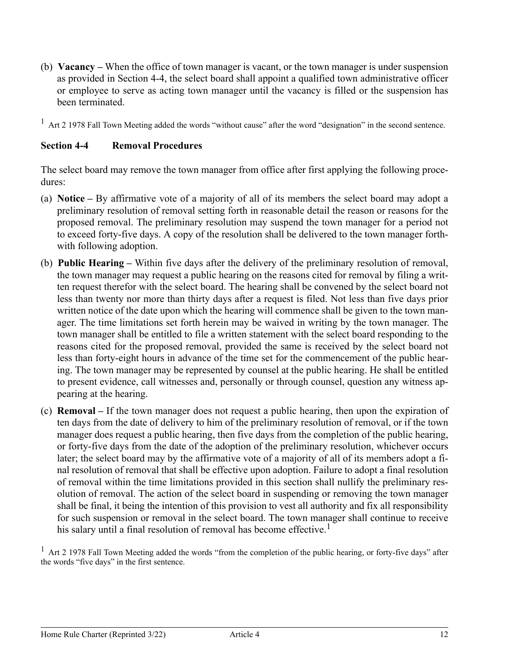- (b) **Vacancy** When the office of town manager is vacant, or the town manager is under suspension as provided in Section 4-4, the select board shall appoint a qualified town administrative officer or employee to serve as acting town manager until the vacancy is filled or the suspension has been terminated.
- <sup>1</sup> Art 2 1978 Fall Town Meeting added the words "without cause" after the word "designation" in the second sentence.

### **Section 4-4 Removal Procedures**

The select board may remove the town manager from office after first applying the following procedures:

- (a) **Notice** By affirmative vote of a majority of all of its members the select board may adopt a preliminary resolution of removal setting forth in reasonable detail the reason or reasons for the proposed removal. The preliminary resolution may suspend the town manager for a period not to exceed forty-five days. A copy of the resolution shall be delivered to the town manager forthwith following adoption.
- (b) **Public Hearing** Within five days after the delivery of the preliminary resolution of removal, the town manager may request a public hearing on the reasons cited for removal by filing a written request therefor with the select board. The hearing shall be convened by the select board not less than twenty nor more than thirty days after a request is filed. Not less than five days prior written notice of the date upon which the hearing will commence shall be given to the town manager. The time limitations set forth herein may be waived in writing by the town manager. The town manager shall be entitled to file a written statement with the select board responding to the reasons cited for the proposed removal, provided the same is received by the select board not less than forty-eight hours in advance of the time set for the commencement of the public hearing. The town manager may be represented by counsel at the public hearing. He shall be entitled to present evidence, call witnesses and, personally or through counsel, question any witness appearing at the hearing.
- (c) **Removal** If the town manager does not request a public hearing, then upon the expiration of ten days from the date of delivery to him of the preliminary resolution of removal, or if the town manager does request a public hearing, then five days from the completion of the public hearing, or forty-five days from the date of the adoption of the preliminary resolution, whichever occurs later; the select board may by the affirmative vote of a majority of all of its members adopt a final resolution of removal that shall be effective upon adoption. Failure to adopt a final resolution of removal within the time limitations provided in this section shall nullify the preliminary resolution of removal. The action of the select board in suspending or removing the town manager shall be final, it being the intention of this provision to vest all authority and fix all responsibility for such suspension or removal in the select board. The town manager shall continue to receive his salary until a final resolution of removal has become effective.<sup>1</sup>

 $1$  Art 2 1978 Fall Town Meeting added the words "from the completion of the public hearing, or forty-five days" after the words "five days" in the first sentence.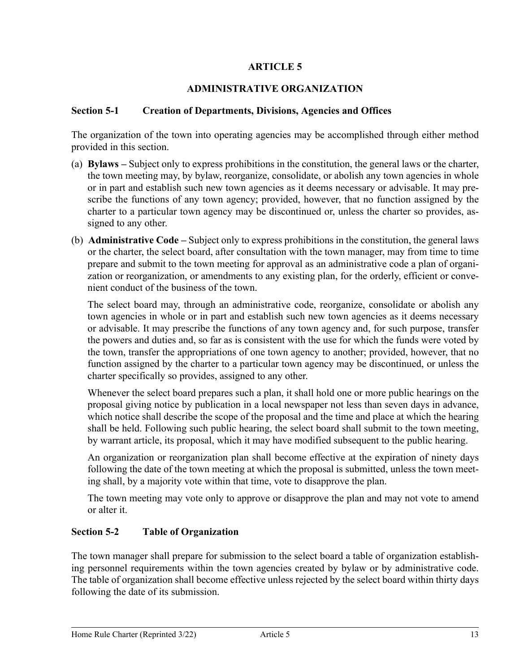# **ADMINISTRATIVE ORGANIZATION**

### **Section 5-1 Creation of Departments, Divisions, Agencies and Offices**

The organization of the town into operating agencies may be accomplished through either method provided in this section.

- (a) **Bylaws** Subject only to express prohibitions in the constitution, the general laws or the charter, the town meeting may, by bylaw, reorganize, consolidate, or abolish any town agencies in whole or in part and establish such new town agencies as it deems necessary or advisable. It may prescribe the functions of any town agency; provided, however, that no function assigned by the charter to a particular town agency may be discontinued or, unless the charter so provides, assigned to any other.
- (b) **Administrative Code** Subject only to express prohibitions in the constitution, the general laws or the charter, the select board, after consultation with the town manager, may from time to time prepare and submit to the town meeting for approval as an administrative code a plan of organization or reorganization, or amendments to any existing plan, for the orderly, efficient or convenient conduct of the business of the town.

The select board may, through an administrative code, reorganize, consolidate or abolish any town agencies in whole or in part and establish such new town agencies as it deems necessary or advisable. It may prescribe the functions of any town agency and, for such purpose, transfer the powers and duties and, so far as is consistent with the use for which the funds were voted by the town, transfer the appropriations of one town agency to another; provided, however, that no function assigned by the charter to a particular town agency may be discontinued, or unless the charter specifically so provides, assigned to any other.

Whenever the select board prepares such a plan, it shall hold one or more public hearings on the proposal giving notice by publication in a local newspaper not less than seven days in advance, which notice shall describe the scope of the proposal and the time and place at which the hearing shall be held. Following such public hearing, the select board shall submit to the town meeting, by warrant article, its proposal, which it may have modified subsequent to the public hearing.

An organization or reorganization plan shall become effective at the expiration of ninety days following the date of the town meeting at which the proposal is submitted, unless the town meeting shall, by a majority vote within that time, vote to disapprove the plan.

The town meeting may vote only to approve or disapprove the plan and may not vote to amend or alter it.

### **Section 5-2 Table of Organization**

The town manager shall prepare for submission to the select board a table of organization establishing personnel requirements within the town agencies created by bylaw or by administrative code. The table of organization shall become effective unless rejected by the select board within thirty days following the date of its submission.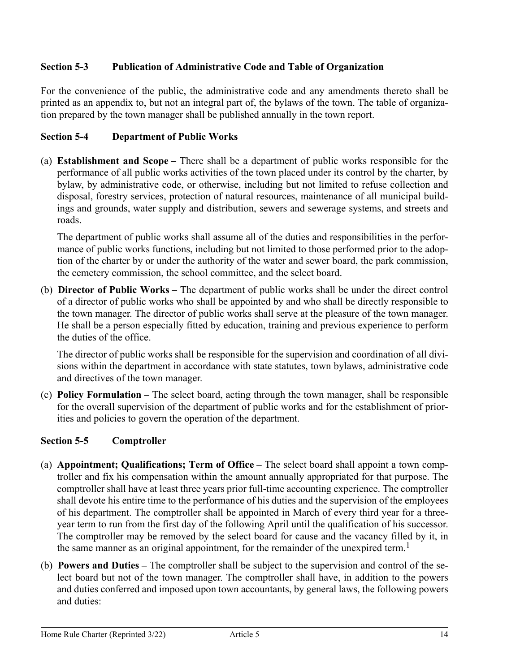### **Section 5-3 Publication of Administrative Code and Table of Organization**

For the convenience of the public, the administrative code and any amendments thereto shall be printed as an appendix to, but not an integral part of, the bylaws of the town. The table of organization prepared by the town manager shall be published annually in the town report.

### **Section 5-4 Department of Public Works**

(a) **Establishment and Scope –** There shall be a department of public works responsible for the performance of all public works activities of the town placed under its control by the charter, by bylaw, by administrative code, or otherwise, including but not limited to refuse collection and disposal, forestry services, protection of natural resources, maintenance of all municipal buildings and grounds, water supply and distribution, sewers and sewerage systems, and streets and roads.

The department of public works shall assume all of the duties and responsibilities in the performance of public works functions, including but not limited to those performed prior to the adoption of the charter by or under the authority of the water and sewer board, the park commission, the cemetery commission, the school committee, and the select board.

(b) **Director of Public Works –** The department of public works shall be under the direct control of a director of public works who shall be appointed by and who shall be directly responsible to the town manager. The director of public works shall serve at the pleasure of the town manager. He shall be a person especially fitted by education, training and previous experience to perform the duties of the office.

The director of public works shall be responsible for the supervision and coordination of all divisions within the department in accordance with state statutes, town bylaws, administrative code and directives of the town manager.

(c) **Policy Formulation –** The select board, acting through the town manager, shall be responsible for the overall supervision of the department of public works and for the establishment of priorities and policies to govern the operation of the department.

### **Section 5-5 Comptroller**

- (a) **Appointment; Qualifications; Term of Office** The select board shall appoint a town comptroller and fix his compensation within the amount annually appropriated for that purpose. The comptroller shall have at least three years prior full-time accounting experience. The comptroller shall devote his entire time to the performance of his duties and the supervision of the employees of his department. The comptroller shall be appointed in March of every third year for a threeyear term to run from the first day of the following April until the qualification of his successor. The comptroller may be removed by the select board for cause and the vacancy filled by it, in the same manner as an original appointment, for the remainder of the unexpired term.<sup>1</sup>
- (b) **Powers and Duties** The comptroller shall be subject to the supervision and control of the select board but not of the town manager. The comptroller shall have, in addition to the powers and duties conferred and imposed upon town accountants, by general laws, the following powers and duties: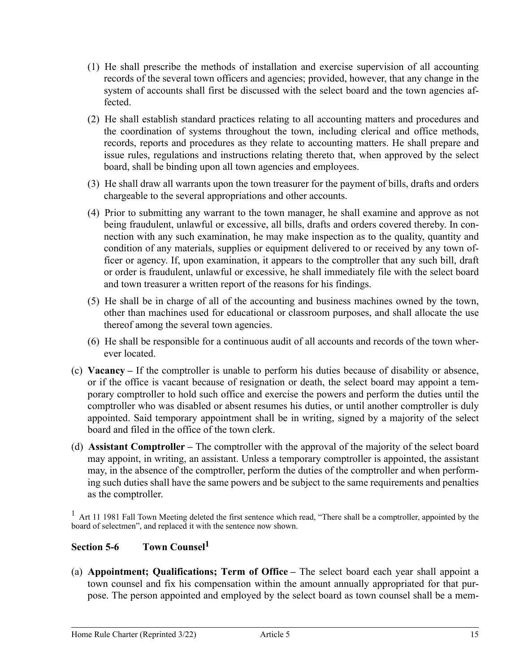- (1) He shall prescribe the methods of installation and exercise supervision of all accounting records of the several town officers and agencies; provided, however, that any change in the system of accounts shall first be discussed with the select board and the town agencies affected.
- (2) He shall establish standard practices relating to all accounting matters and procedures and the coordination of systems throughout the town, including clerical and office methods, records, reports and procedures as they relate to accounting matters. He shall prepare and issue rules, regulations and instructions relating thereto that, when approved by the select board, shall be binding upon all town agencies and employees.
- (3) He shall draw all warrants upon the town treasurer for the payment of bills, drafts and orders chargeable to the several appropriations and other accounts.
- (4) Prior to submitting any warrant to the town manager, he shall examine and approve as not being fraudulent, unlawful or excessive, all bills, drafts and orders covered thereby. In connection with any such examination, he may make inspection as to the quality, quantity and condition of any materials, supplies or equipment delivered to or received by any town officer or agency. If, upon examination, it appears to the comptroller that any such bill, draft or order is fraudulent, unlawful or excessive, he shall immediately file with the select board and town treasurer a written report of the reasons for his findings.
- (5) He shall be in charge of all of the accounting and business machines owned by the town, other than machines used for educational or classroom purposes, and shall allocate the use thereof among the several town agencies.
- (6) He shall be responsible for a continuous audit of all accounts and records of the town wherever located.
- (c) **Vacancy** If the comptroller is unable to perform his duties because of disability or absence, or if the office is vacant because of resignation or death, the select board may appoint a temporary comptroller to hold such office and exercise the powers and perform the duties until the comptroller who was disabled or absent resumes his duties, or until another comptroller is duly appointed. Said temporary appointment shall be in writing, signed by a majority of the select board and filed in the office of the town clerk.
- (d) **Assistant Comptroller** The comptroller with the approval of the majority of the select board may appoint, in writing, an assistant. Unless a temporary comptroller is appointed, the assistant may, in the absence of the comptroller, perform the duties of the comptroller and when performing such duties shall have the same powers and be subject to the same requirements and penalties as the comptroller.

 $1$  Art 11 1981 Fall Town Meeting deleted the first sentence which read, "There shall be a comptroller, appointed by the board of selectmen", and replaced it with the sentence now shown.

### **Section 5-6 Town Counsel<sup>1</sup>**

(a) **Appointment; Qualifications; Term of Office –** The select board each year shall appoint a town counsel and fix his compensation within the amount annually appropriated for that purpose. The person appointed and employed by the select board as town counsel shall be a mem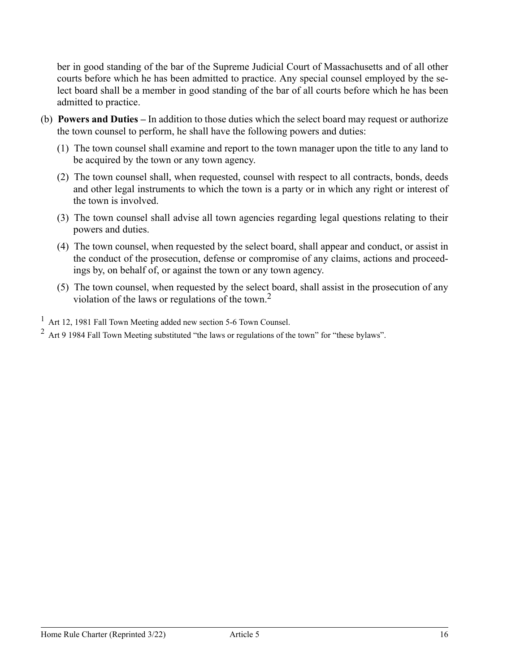ber in good standing of the bar of the Supreme Judicial Court of Massachusetts and of all other courts before which he has been admitted to practice. Any special counsel employed by the select board shall be a member in good standing of the bar of all courts before which he has been admitted to practice.

- (b) **Powers and Duties** In addition to those duties which the select board may request or authorize the town counsel to perform, he shall have the following powers and duties:
	- (1) The town counsel shall examine and report to the town manager upon the title to any land to be acquired by the town or any town agency.
	- (2) The town counsel shall, when requested, counsel with respect to all contracts, bonds, deeds and other legal instruments to which the town is a party or in which any right or interest of the town is involved.
	- (3) The town counsel shall advise all town agencies regarding legal questions relating to their powers and duties.
	- (4) The town counsel, when requested by the select board, shall appear and conduct, or assist in the conduct of the prosecution, defense or compromise of any claims, actions and proceedings by, on behalf of, or against the town or any town agency.
	- (5) The town counsel, when requested by the select board, shall assist in the prosecution of any violation of the laws or regulations of the town.<sup>2</sup>

<sup>1</sup> Art 12, 1981 Fall Town Meeting added new section 5-6 Town Counsel.

<sup>2</sup> Art 9 1984 Fall Town Meeting substituted "the laws or regulations of the town" for "these bylaws".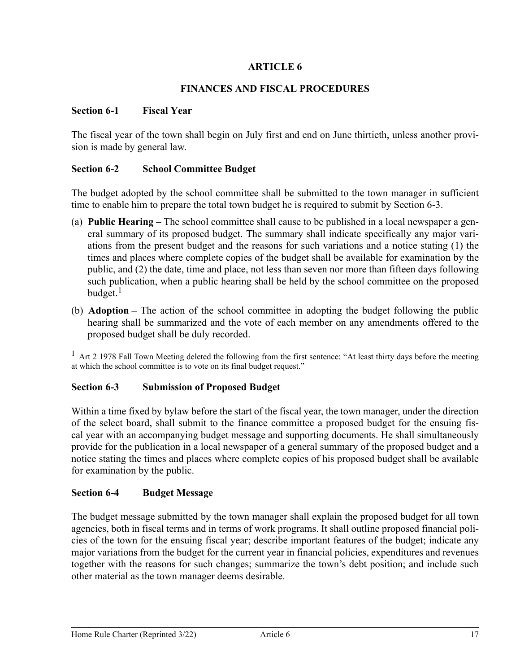# **FINANCES AND FISCAL PROCEDURES**

### **Section 6-1 Fiscal Year**

The fiscal year of the town shall begin on July first and end on June thirtieth, unless another provision is made by general law.

### **Section 6-2 School Committee Budget**

The budget adopted by the school committee shall be submitted to the town manager in sufficient time to enable him to prepare the total town budget he is required to submit by Section 6-3.

- (a) **Public Hearing** The school committee shall cause to be published in a local newspaper a general summary of its proposed budget. The summary shall indicate specifically any major variations from the present budget and the reasons for such variations and a notice stating (1) the times and places where complete copies of the budget shall be available for examination by the public, and (2) the date, time and place, not less than seven nor more than fifteen days following such publication, when a public hearing shall be held by the school committee on the proposed budget. $<sup>1</sup>$ </sup>
- (b) **Adoption** The action of the school committee in adopting the budget following the public hearing shall be summarized and the vote of each member on any amendments offered to the proposed budget shall be duly recorded.

 $1$  Art 2 1978 Fall Town Meeting deleted the following from the first sentence: "At least thirty days before the meeting at which the school committee is to vote on its final budget request."

### **Section 6-3 Submission of Proposed Budget**

Within a time fixed by bylaw before the start of the fiscal year, the town manager, under the direction of the select board, shall submit to the finance committee a proposed budget for the ensuing fiscal year with an accompanying budget message and supporting documents. He shall simultaneously provide for the publication in a local newspaper of a general summary of the proposed budget and a notice stating the times and places where complete copies of his proposed budget shall be available for examination by the public.

### **Section 6-4 Budget Message**

The budget message submitted by the town manager shall explain the proposed budget for all town agencies, both in fiscal terms and in terms of work programs. It shall outline proposed financial policies of the town for the ensuing fiscal year; describe important features of the budget; indicate any major variations from the budget for the current year in financial policies, expenditures and revenues together with the reasons for such changes; summarize the town's debt position; and include such other material as the town manager deems desirable.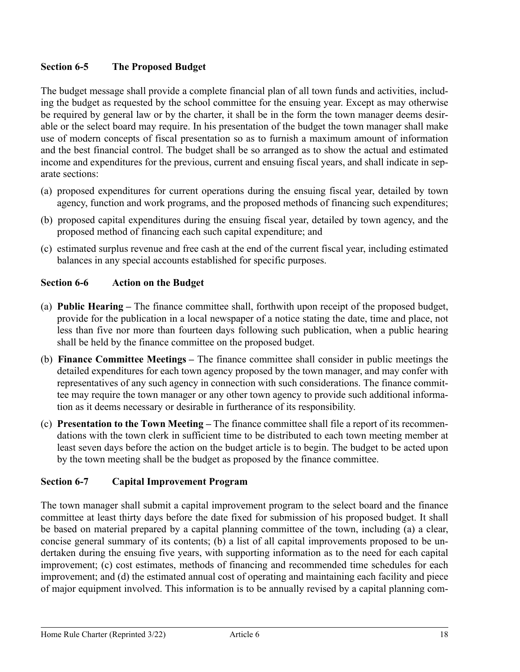### **Section 6-5 The Proposed Budget**

The budget message shall provide a complete financial plan of all town funds and activities, including the budget as requested by the school committee for the ensuing year. Except as may otherwise be required by general law or by the charter, it shall be in the form the town manager deems desirable or the select board may require. In his presentation of the budget the town manager shall make use of modern concepts of fiscal presentation so as to furnish a maximum amount of information and the best financial control. The budget shall be so arranged as to show the actual and estimated income and expenditures for the previous, current and ensuing fiscal years, and shall indicate in separate sections:

- (a) proposed expenditures for current operations during the ensuing fiscal year, detailed by town agency, function and work programs, and the proposed methods of financing such expenditures;
- (b) proposed capital expenditures during the ensuing fiscal year, detailed by town agency, and the proposed method of financing each such capital expenditure; and
- (c) estimated surplus revenue and free cash at the end of the current fiscal year, including estimated balances in any special accounts established for specific purposes.

### **Section 6-6 Action on the Budget**

- (a) **Public Hearing** The finance committee shall, forthwith upon receipt of the proposed budget, provide for the publication in a local newspaper of a notice stating the date, time and place, not less than five nor more than fourteen days following such publication, when a public hearing shall be held by the finance committee on the proposed budget.
- (b) **Finance Committee Meetings** The finance committee shall consider in public meetings the detailed expenditures for each town agency proposed by the town manager, and may confer with representatives of any such agency in connection with such considerations. The finance committee may require the town manager or any other town agency to provide such additional information as it deems necessary or desirable in furtherance of its responsibility.
- (c) **Presentation to the Town Meeting** The finance committee shall file a report of its recommendations with the town clerk in sufficient time to be distributed to each town meeting member at least seven days before the action on the budget article is to begin. The budget to be acted upon by the town meeting shall be the budget as proposed by the finance committee.

### **Section 6-7 Capital Improvement Program**

The town manager shall submit a capital improvement program to the select board and the finance committee at least thirty days before the date fixed for submission of his proposed budget. It shall be based on material prepared by a capital planning committee of the town, including (a) a clear, concise general summary of its contents; (b) a list of all capital improvements proposed to be undertaken during the ensuing five years, with supporting information as to the need for each capital improvement; (c) cost estimates, methods of financing and recommended time schedules for each improvement; and (d) the estimated annual cost of operating and maintaining each facility and piece of major equipment involved. This information is to be annually revised by a capital planning com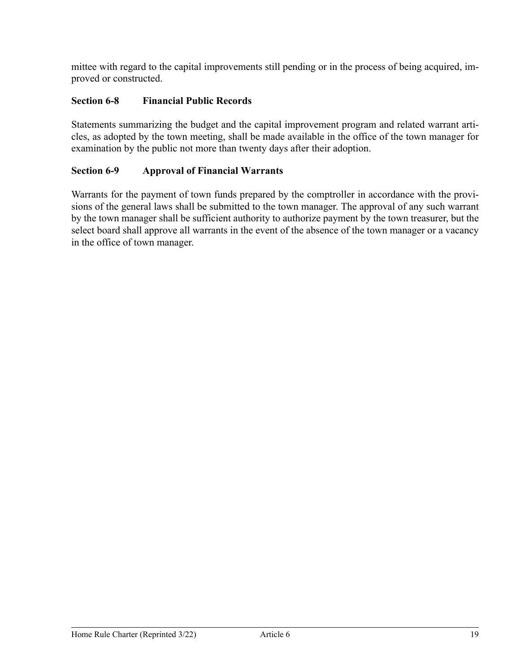mittee with regard to the capital improvements still pending or in the process of being acquired, improved or constructed.

### **Section 6-8 Financial Public Records**

Statements summarizing the budget and the capital improvement program and related warrant articles, as adopted by the town meeting, shall be made available in the office of the town manager for examination by the public not more than twenty days after their adoption.

### **Section 6-9 Approval of Financial Warrants**

Warrants for the payment of town funds prepared by the comptroller in accordance with the provisions of the general laws shall be submitted to the town manager. The approval of any such warrant by the town manager shall be sufficient authority to authorize payment by the town treasurer, but the select board shall approve all warrants in the event of the absence of the town manager or a vacancy in the office of town manager.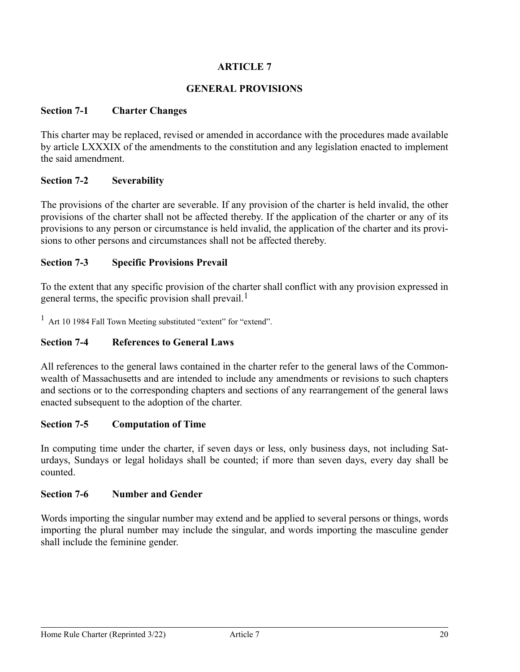# **GENERAL PROVISIONS**

### **Section 7-1 Charter Changes**

This charter may be replaced, revised or amended in accordance with the procedures made available by article LXXXIX of the amendments to the constitution and any legislation enacted to implement the said amendment.

### **Section 7-2 Severability**

The provisions of the charter are severable. If any provision of the charter is held invalid, the other provisions of the charter shall not be affected thereby. If the application of the charter or any of its provisions to any person or circumstance is held invalid, the application of the charter and its provisions to other persons and circumstances shall not be affected thereby.

### **Section 7-3 Specific Provisions Prevail**

To the extent that any specific provision of the charter shall conflict with any provision expressed in general terms, the specific provision shall prevail.<sup>1</sup>

 $1$  Art 10 1984 Fall Town Meeting substituted "extent" for "extend".

### **Section 7-4 References to General Laws**

All references to the general laws contained in the charter refer to the general laws of the Commonwealth of Massachusetts and are intended to include any amendments or revisions to such chapters and sections or to the corresponding chapters and sections of any rearrangement of the general laws enacted subsequent to the adoption of the charter.

### **Section 7-5 Computation of Time**

In computing time under the charter, if seven days or less, only business days, not including Saturdays, Sundays or legal holidays shall be counted; if more than seven days, every day shall be counted.

#### **Section 7-6 Number and Gender**

Words importing the singular number may extend and be applied to several persons or things, words importing the plural number may include the singular, and words importing the masculine gender shall include the feminine gender.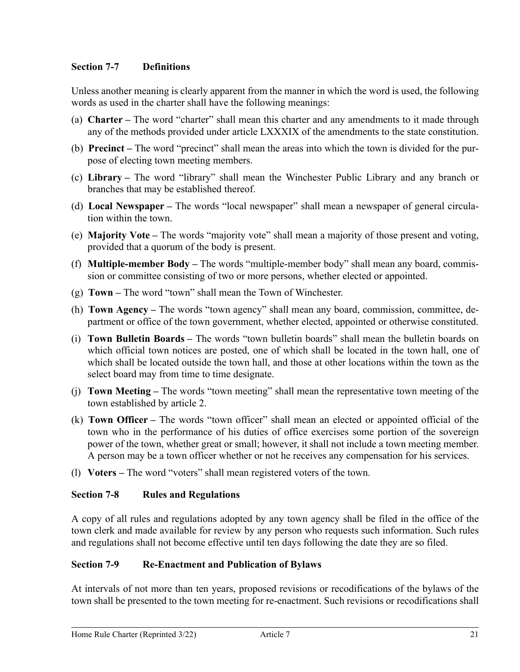### **Section 7-7 Definitions**

Unless another meaning is clearly apparent from the manner in which the word is used, the following words as used in the charter shall have the following meanings:

- (a) **Charter** The word "charter" shall mean this charter and any amendments to it made through any of the methods provided under article LXXXIX of the amendments to the state constitution.
- (b) **Precinct** The word "precinct" shall mean the areas into which the town is divided for the purpose of electing town meeting members.
- (c) **Library** The word "library" shall mean the Winchester Public Library and any branch or branches that may be established thereof.
- (d) **Local Newspaper** The words "local newspaper" shall mean a newspaper of general circulation within the town.
- (e) **Majority Vote** The words "majority vote" shall mean a majority of those present and voting, provided that a quorum of the body is present.
- (f) **Multiple-member Body** The words "multiple-member body" shall mean any board, commission or committee consisting of two or more persons, whether elected or appointed.
- (g) **Town** The word "town" shall mean the Town of Winchester.
- (h) **Town Agency** The words "town agency" shall mean any board, commission, committee, department or office of the town government, whether elected, appointed or otherwise constituted.
- (i) **Town Bulletin Boards** The words "town bulletin boards" shall mean the bulletin boards on which official town notices are posted, one of which shall be located in the town hall, one of which shall be located outside the town hall, and those at other locations within the town as the select board may from time to time designate.
- (j) **Town Meeting** The words "town meeting" shall mean the representative town meeting of the town established by article 2.
- (k) **Town Officer** The words "town officer" shall mean an elected or appointed official of the town who in the performance of his duties of office exercises some portion of the sovereign power of the town, whether great or small; however, it shall not include a town meeting member. A person may be a town officer whether or not he receives any compensation for his services.
- (l) **Voters** The word "voters" shall mean registered voters of the town.

### **Section 7-8 Rules and Regulations**

A copy of all rules and regulations adopted by any town agency shall be filed in the office of the town clerk and made available for review by any person who requests such information. Such rules and regulations shall not become effective until ten days following the date they are so filed.

### **Section 7-9 Re-Enactment and Publication of Bylaws**

At intervals of not more than ten years, proposed revisions or recodifications of the bylaws of the town shall be presented to the town meeting for re-enactment. Such revisions or recodifications shall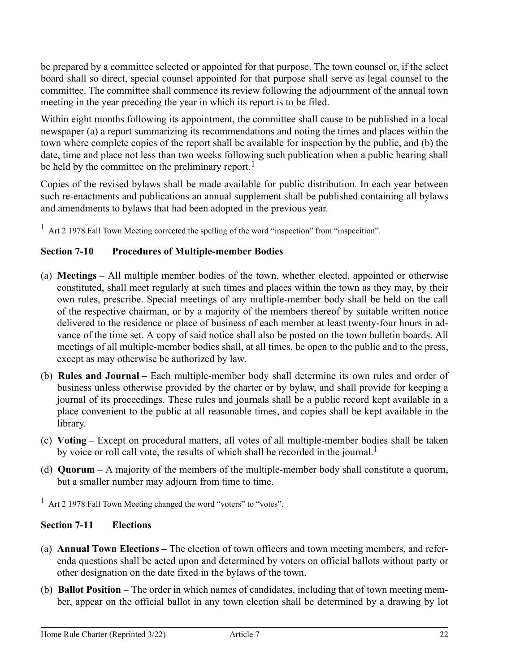be prepared by a committee selected or appointed for that purpose. The town counsel or, if the select board shall so direct, special counsel appointed for that purpose shall serve as legal counsel to the committee. The committee shall commence its review following the adjournment of the annual town meeting in the year preceding the year in which its report is to be filed.

Within eight months following its appointment, the committee shall cause to be published in a local newspaper (a) a report summarizing its recommendations and noting the times and places within the town where complete copies of the report shall be available for inspection by the public, and (b) the date, time and place not less than two weeks following such publication when a public hearing shall be held by the committee on the preliminary report.<sup>1</sup>

Copies of the revised bylaws shall be made available for public distribution. In each year between such re-enactments and publications an annual supplement shall be published containing all bylaws and amendments to bylaws that had been adopted in the previous year.

 $1$  Art 2 1978 Fall Town Meeting corrected the spelling of the word "inspection" from "inspection".

### **Section 7-10 Procedures of Multiple-member Bodies**

- (a) **Meetings** All multiple member bodies of the town, whether elected, appointed or otherwise constituted, shall meet regularly at such times and places within the town as they may, by their own rules, prescribe. Special meetings of any multiple-member body shall be held on the call of the respective chairman, or by a majority of the members thereof by suitable written notice delivered to the residence or place of business of each member at least twenty-four hours in advance of the time set. A copy of said notice shall also be posted on the town bulletin boards. All meetings of all multiple-member bodies shall, at all times, be open to the public and to the press, except as may otherwise be authorized by law.
- (b) **Rules and Journal** Each multiple-member body shall determine its own rules and order of business unless otherwise provided by the charter or by bylaw, and shall provide for keeping a journal of its proceedings. These rules and journals shall be a public record kept available in a place convenient to the public at all reasonable times, and copies shall be kept available in the library.
- (c) **Voting** Except on procedural matters, all votes of all multiple-member bodies shall be taken by voice or roll call vote, the results of which shall be recorded in the journal.<sup>1</sup>
- (d) **Quorum** A majority of the members of the multiple-member body shall constitute a quorum, but a smaller number may adjourn from time to time.

 $1$  Art 2 1978 Fall Town Meeting changed the word "voters" to "votes".

### **Section 7-11 Elections**

- (a) **Annual Town Elections** The election of town officers and town meeting members, and referenda questions shall be acted upon and determined by voters on official ballots without party or other designation on the date fixed in the bylaws of the town.
- (b) **Ballot Position** The order in which names of candidates, including that of town meeting member, appear on the official ballot in any town election shall be determined by a drawing by lot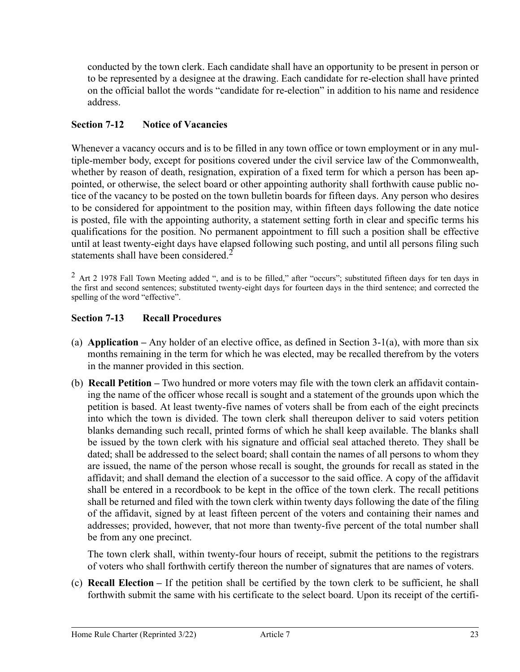conducted by the town clerk. Each candidate shall have an opportunity to be present in person or to be represented by a designee at the drawing. Each candidate for re-election shall have printed on the official ballot the words "candidate for re-election" in addition to his name and residence address.

### **Section 7-12 Notice of Vacancies**

Whenever a vacancy occurs and is to be filled in any town office or town employment or in any multiple-member body, except for positions covered under the civil service law of the Commonwealth, whether by reason of death, resignation, expiration of a fixed term for which a person has been appointed, or otherwise, the select board or other appointing authority shall forthwith cause public notice of the vacancy to be posted on the town bulletin boards for fifteen days. Any person who desires to be considered for appointment to the position may, within fifteen days following the date notice is posted, file with the appointing authority, a statement setting forth in clear and specific terms his qualifications for the position. No permanent appointment to fill such a position shall be effective until at least twenty-eight days have elapsed following such posting, and until all persons filing such statements shall have been considered.<sup>2</sup>

<sup>2</sup> Art 2 1978 Fall Town Meeting added ", and is to be filled," after "occurs"; substituted fifteen days for ten days in the first and second sentences; substituted twenty-eight days for fourteen days in the third sentence; and corrected the spelling of the word "effective".

### **Section 7-13 Recall Procedures**

- (a) **Application** Any holder of an elective office, as defined in Section 3-1(a), with more than six months remaining in the term for which he was elected, may be recalled therefrom by the voters in the manner provided in this section.
- (b) **Recall Petition** Two hundred or more voters may file with the town clerk an affidavit containing the name of the officer whose recall is sought and a statement of the grounds upon which the petition is based. At least twenty-five names of voters shall be from each of the eight precincts into which the town is divided. The town clerk shall thereupon deliver to said voters petition blanks demanding such recall, printed forms of which he shall keep available. The blanks shall be issued by the town clerk with his signature and official seal attached thereto. They shall be dated; shall be addressed to the select board; shall contain the names of all persons to whom they are issued, the name of the person whose recall is sought, the grounds for recall as stated in the affidavit; and shall demand the election of a successor to the said office. A copy of the affidavit shall be entered in a recordbook to be kept in the office of the town clerk. The recall petitions shall be returned and filed with the town clerk within twenty days following the date of the filing of the affidavit, signed by at least fifteen percent of the voters and containing their names and addresses; provided, however, that not more than twenty-five percent of the total number shall be from any one precinct.

The town clerk shall, within twenty-four hours of receipt, submit the petitions to the registrars of voters who shall forthwith certify thereon the number of signatures that are names of voters.

(c) **Recall Election –** If the petition shall be certified by the town clerk to be sufficient, he shall forthwith submit the same with his certificate to the select board. Upon its receipt of the certifi-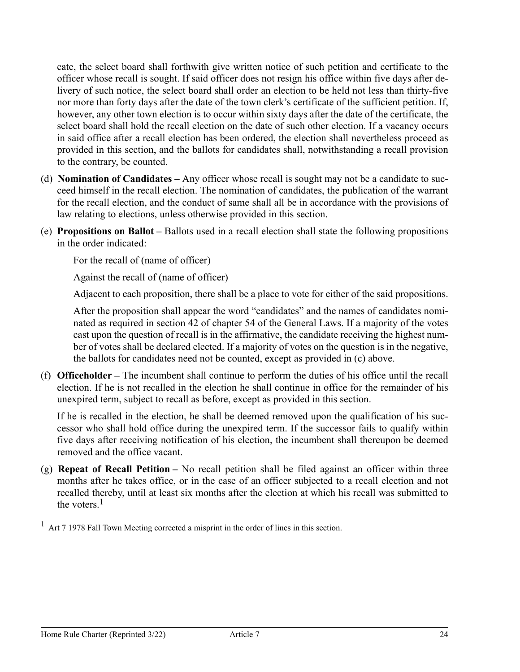cate, the select board shall forthwith give written notice of such petition and certificate to the officer whose recall is sought. If said officer does not resign his office within five days after delivery of such notice, the select board shall order an election to be held not less than thirty-five nor more than forty days after the date of the town clerk's certificate of the sufficient petition. If, however, any other town election is to occur within sixty days after the date of the certificate, the select board shall hold the recall election on the date of such other election. If a vacancy occurs in said office after a recall election has been ordered, the election shall nevertheless proceed as provided in this section, and the ballots for candidates shall, notwithstanding a recall provision to the contrary, be counted.

- (d) **Nomination of Candidates** Any officer whose recall is sought may not be a candidate to succeed himself in the recall election. The nomination of candidates, the publication of the warrant for the recall election, and the conduct of same shall all be in accordance with the provisions of law relating to elections, unless otherwise provided in this section.
- (e) **Propositions on Ballot** Ballots used in a recall election shall state the following propositions in the order indicated:

For the recall of (name of officer)

Against the recall of (name of officer)

Adjacent to each proposition, there shall be a place to vote for either of the said propositions.

After the proposition shall appear the word "candidates" and the names of candidates nominated as required in section [42](https://municipal.codes/MA/MGL/54-42) of chapter [54](https://municipal.codes/MA/MGL/54) of the General Laws. If a majority of the votes cast upon the question of recall is in the affirmative, the candidate receiving the highest number of votes shall be declared elected. If a majority of votes on the question is in the negative, the ballots for candidates need not be counted, except as provided in (c) above.

(f) **Officeholder –** The incumbent shall continue to perform the duties of his office until the recall election. If he is not recalled in the election he shall continue in office for the remainder of his unexpired term, subject to recall as before, except as provided in this section.

If he is recalled in the election, he shall be deemed removed upon the qualification of his successor who shall hold office during the unexpired term. If the successor fails to qualify within five days after receiving notification of his election, the incumbent shall thereupon be deemed removed and the office vacant.

(g) **Repeat of Recall Petition –** No recall petition shall be filed against an officer within three months after he takes office, or in the case of an officer subjected to a recall election and not recalled thereby, until at least six months after the election at which his recall was submitted to the voters  $<sup>1</sup>$ </sup>

 $1$  Art 7 1978 Fall Town Meeting corrected a misprint in the order of lines in this section.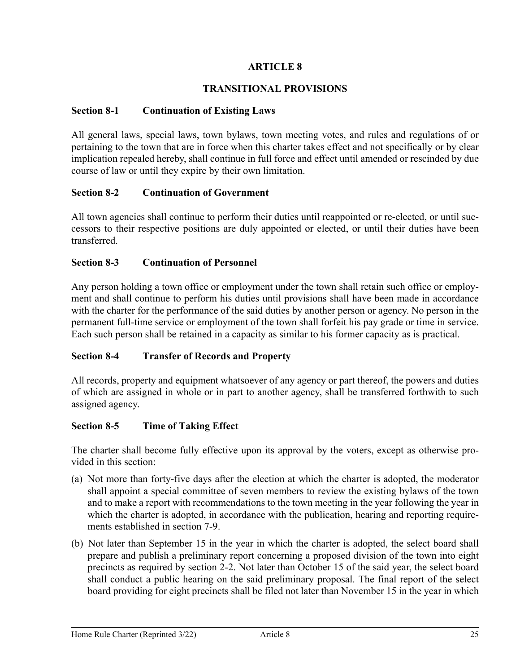# **TRANSITIONAL PROVISIONS**

### **Section 8-1 Continuation of Existing Laws**

All general laws, special laws, town bylaws, town meeting votes, and rules and regulations of or pertaining to the town that are in force when this charter takes effect and not specifically or by clear implication repealed hereby, shall continue in full force and effect until amended or rescinded by due course of law or until they expire by their own limitation.

### **Section 8-2 Continuation of Government**

All town agencies shall continue to perform their duties until reappointed or re-elected, or until successors to their respective positions are duly appointed or elected, or until their duties have been transferred.

### **Section 8-3 Continuation of Personnel**

Any person holding a town office or employment under the town shall retain such office or employment and shall continue to perform his duties until provisions shall have been made in accordance with the charter for the performance of the said duties by another person or agency. No person in the permanent full-time service or employment of the town shall forfeit his pay grade or time in service. Each such person shall be retained in a capacity as similar to his former capacity as is practical.

### **Section 8-4 Transfer of Records and Property**

All records, property and equipment whatsoever of any agency or part thereof, the powers and duties of which are assigned in whole or in part to another agency, shall be transferred forthwith to such assigned agency.

### **Section 8-5 Time of Taking Effect**

The charter shall become fully effective upon its approval by the voters, except as otherwise provided in this section:

- (a) Not more than forty-five days after the election at which the charter is adopted, the moderator shall appoint a special committee of seven members to review the existing bylaws of the town and to make a report with recommendations to the town meeting in the year following the year in which the charter is adopted, in accordance with the publication, hearing and reporting requirements established in section 7-9.
- (b) Not later than September 15 in the year in which the charter is adopted, the select board shall prepare and publish a preliminary report concerning a proposed division of the town into eight precincts as required by section 2-2. Not later than October 15 of the said year, the select board shall conduct a public hearing on the said preliminary proposal. The final report of the select board providing for eight precincts shall be filed not later than November 15 in the year in which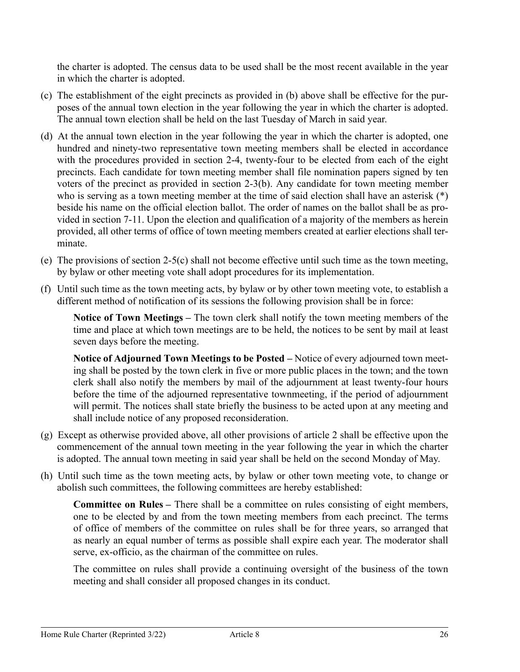the charter is adopted. The census data to be used shall be the most recent available in the year in which the charter is adopted.

- (c) The establishment of the eight precincts as provided in (b) above shall be effective for the purposes of the annual town election in the year following the year in which the charter is adopted. The annual town election shall be held on the last Tuesday of March in said year.
- (d) At the annual town election in the year following the year in which the charter is adopted, one hundred and ninety-two representative town meeting members shall be elected in accordance with the procedures provided in section 2-4, twenty-four to be elected from each of the eight precincts. Each candidate for town meeting member shall file nomination papers signed by ten voters of the precinct as provided in section 2-3(b). Any candidate for town meeting member who is serving as a town meeting member at the time of said election shall have an asterisk (\*) beside his name on the official election ballot. The order of names on the ballot shall be as provided in section 7-11. Upon the election and qualification of a majority of the members as herein provided, all other terms of office of town meeting members created at earlier elections shall terminate.
- (e) The provisions of section 2-5(c) shall not become effective until such time as the town meeting, by bylaw or other meeting vote shall adopt procedures for its implementation.
- (f) Until such time as the town meeting acts, by bylaw or by other town meeting vote, to establish a different method of notification of its sessions the following provision shall be in force:

**Notice of Town Meetings –** The town clerk shall notify the town meeting members of the time and place at which town meetings are to be held, the notices to be sent by mail at least seven days before the meeting.

**Notice of Adjourned Town Meetings to be Posted –** Notice of every adjourned town meeting shall be posted by the town clerk in five or more public places in the town; and the town clerk shall also notify the members by mail of the adjournment at least twenty-four hours before the time of the adjourned representative townmeeting, if the period of adjournment will permit. The notices shall state briefly the business to be acted upon at any meeting and shall include notice of any proposed reconsideration.

- (g) Except as otherwise provided above, all other provisions of article 2 shall be effective upon the commencement of the annual town meeting in the year following the year in which the charter is adopted. The annual town meeting in said year shall be held on the second Monday of May.
- (h) Until such time as the town meeting acts, by bylaw or other town meeting vote, to change or abolish such committees, the following committees are hereby established:

**Committee on Rules –** There shall be a committee on rules consisting of eight members, one to be elected by and from the town meeting members from each precinct. The terms of office of members of the committee on rules shall be for three years, so arranged that as nearly an equal number of terms as possible shall expire each year. The moderator shall serve, ex-officio, as the chairman of the committee on rules.

The committee on rules shall provide a continuing oversight of the business of the town meeting and shall consider all proposed changes in its conduct.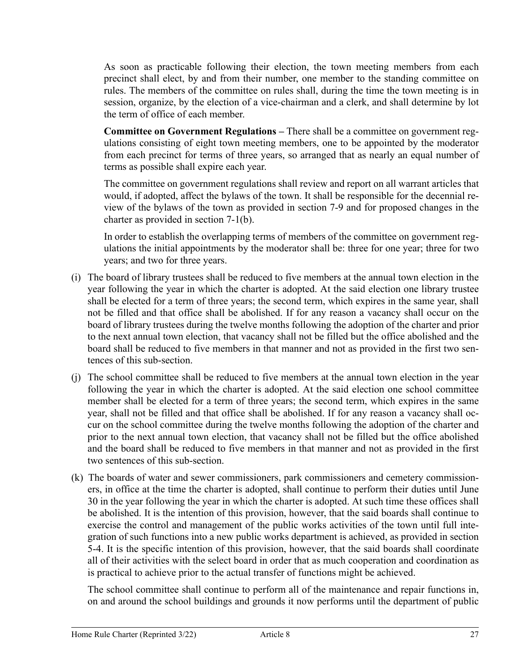As soon as practicable following their election, the town meeting members from each precinct shall elect, by and from their number, one member to the standing committee on rules. The members of the committee on rules shall, during the time the town meeting is in session, organize, by the election of a vice-chairman and a clerk, and shall determine by lot the term of office of each member.

**Committee on Government Regulations –** There shall be a committee on government regulations consisting of eight town meeting members, one to be appointed by the moderator from each precinct for terms of three years, so arranged that as nearly an equal number of terms as possible shall expire each year.

The committee on government regulations shall review and report on all warrant articles that would, if adopted, affect the bylaws of the town. It shall be responsible for the decennial review of the bylaws of the town as provided in section 7-9 and for proposed changes in the charter as provided in section 7-1(b).

In order to establish the overlapping terms of members of the committee on government regulations the initial appointments by the moderator shall be: three for one year; three for two years; and two for three years.

- (i) The board of library trustees shall be reduced to five members at the annual town election in the year following the year in which the charter is adopted. At the said election one library trustee shall be elected for a term of three years; the second term, which expires in the same year, shall not be filled and that office shall be abolished. If for any reason a vacancy shall occur on the board of library trustees during the twelve months following the adoption of the charter and prior to the next annual town election, that vacancy shall not be filled but the office abolished and the board shall be reduced to five members in that manner and not as provided in the first two sentences of this sub-section.
- (j) The school committee shall be reduced to five members at the annual town election in the year following the year in which the charter is adopted. At the said election one school committee member shall be elected for a term of three years; the second term, which expires in the same year, shall not be filled and that office shall be abolished. If for any reason a vacancy shall occur on the school committee during the twelve months following the adoption of the charter and prior to the next annual town election, that vacancy shall not be filled but the office abolished and the board shall be reduced to five members in that manner and not as provided in the first two sentences of this sub-section.
- (k) The boards of water and sewer commissioners, park commissioners and cemetery commissioners, in office at the time the charter is adopted, shall continue to perform their duties until June 30 in the year following the year in which the charter is adopted. At such time these offices shall be abolished. It is the intention of this provision, however, that the said boards shall continue to exercise the control and management of the public works activities of the town until full integration of such functions into a new public works department is achieved, as provided in section 5-4. It is the specific intention of this provision, however, that the said boards shall coordinate all of their activities with the select board in order that as much cooperation and coordination as is practical to achieve prior to the actual transfer of functions might be achieved.

The school committee shall continue to perform all of the maintenance and repair functions in, on and around the school buildings and grounds it now performs until the department of public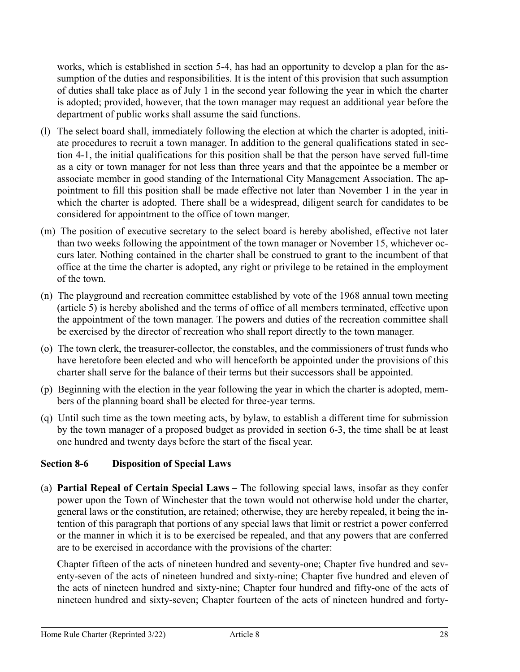works, which is established in section 5-4, has had an opportunity to develop a plan for the assumption of the duties and responsibilities. It is the intent of this provision that such assumption of duties shall take place as of July 1 in the second year following the year in which the charter is adopted; provided, however, that the town manager may request an additional year before the department of public works shall assume the said functions.

- (l) The select board shall, immediately following the election at which the charter is adopted, initiate procedures to recruit a town manager. In addition to the general qualifications stated in section 4-1, the initial qualifications for this position shall be that the person have served full-time as a city or town manager for not less than three years and that the appointee be a member or associate member in good standing of the International City Management Association. The appointment to fill this position shall be made effective not later than November 1 in the year in which the charter is adopted. There shall be a widespread, diligent search for candidates to be considered for appointment to the office of town manger.
- (m) The position of executive secretary to the select board is hereby abolished, effective not later than two weeks following the appointment of the town manager or November 15, whichever occurs later. Nothing contained in the charter shall be construed to grant to the incumbent of that office at the time the charter is adopted, any right or privilege to be retained in the employment of the town.
- (n) The playground and recreation committee established by vote of the 1968 annual town meeting (article 5) is hereby abolished and the terms of office of all members terminated, effective upon the appointment of the town manager. The powers and duties of the recreation committee shall be exercised by the director of recreation who shall report directly to the town manager.
- (o) The town clerk, the treasurer-collector, the constables, and the commissioners of trust funds who have heretofore been elected and who will henceforth be appointed under the provisions of this charter shall serve for the balance of their terms but their successors shall be appointed.
- (p) Beginning with the election in the year following the year in which the charter is adopted, members of the planning board shall be elected for three-year terms.
- (q) Until such time as the town meeting acts, by bylaw, to establish a different time for submission by the town manager of a proposed budget as provided in section 6-3, the time shall be at least one hundred and twenty days before the start of the fiscal year.

### **Section 8-6 Disposition of Special Laws**

(a) **Partial Repeal of Certain Special Laws –** The following special laws, insofar as they confer power upon the Town of Winchester that the town would not otherwise hold under the charter, general laws or the constitution, are retained; otherwise, they are hereby repealed, it being the intention of this paragraph that portions of any special laws that limit or restrict a power conferred or the manner in which it is to be exercised be repealed, and that any powers that are conferred are to be exercised in accordance with the provisions of the charter:

Chapter fifteen of the acts of nineteen hundred and seventy-one; Chapter five hundred and seventy-seven of the acts of nineteen hundred and sixty-nine; Chapter five hundred and eleven of the acts of nineteen hundred and sixty-nine; Chapter four hundred and fifty-one of the acts of nineteen hundred and sixty-seven; Chapter fourteen of the acts of nineteen hundred and forty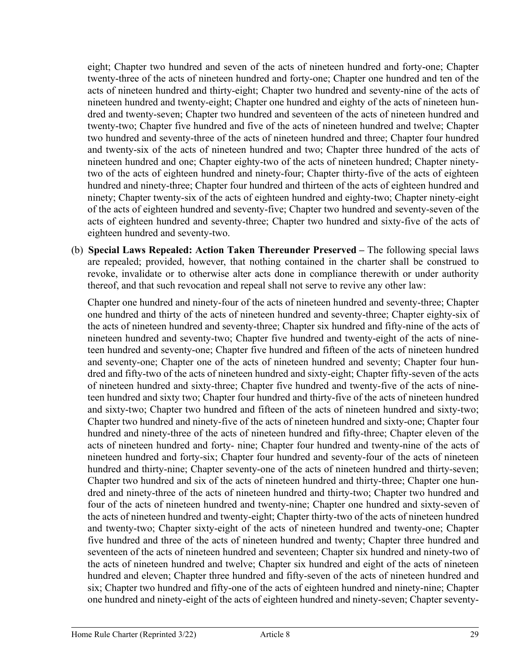eight; Chapter two hundred and seven of the acts of nineteen hundred and forty-one; Chapter twenty-three of the acts of nineteen hundred and forty-one; Chapter one hundred and ten of the acts of nineteen hundred and thirty-eight; Chapter two hundred and seventy-nine of the acts of nineteen hundred and twenty-eight; Chapter one hundred and eighty of the acts of nineteen hundred and twenty-seven; Chapter two hundred and seventeen of the acts of nineteen hundred and twenty-two; Chapter five hundred and five of the acts of nineteen hundred and twelve; Chapter two hundred and seventy-three of the acts of nineteen hundred and three; Chapter four hundred and twenty-six of the acts of nineteen hundred and two; Chapter three hundred of the acts of nineteen hundred and one; Chapter eighty-two of the acts of nineteen hundred; Chapter ninetytwo of the acts of eighteen hundred and ninety-four; Chapter thirty-five of the acts of eighteen hundred and ninety-three; Chapter four hundred and thirteen of the acts of eighteen hundred and ninety; Chapter twenty-six of the acts of eighteen hundred and eighty-two; Chapter ninety-eight of the acts of eighteen hundred and seventy-five; Chapter two hundred and seventy-seven of the acts of eighteen hundred and seventy-three; Chapter two hundred and sixty-five of the acts of eighteen hundred and seventy-two.

(b) **Special Laws Repealed: Action Taken Thereunder Preserved –** The following special laws are repealed; provided, however, that nothing contained in the charter shall be construed to revoke, invalidate or to otherwise alter acts done in compliance therewith or under authority thereof, and that such revocation and repeal shall not serve to revive any other law:

Chapter one hundred and ninety-four of the acts of nineteen hundred and seventy-three; Chapter one hundred and thirty of the acts of nineteen hundred and seventy-three; Chapter eighty-six of the acts of nineteen hundred and seventy-three; Chapter six hundred and fifty-nine of the acts of nineteen hundred and seventy-two; Chapter five hundred and twenty-eight of the acts of nineteen hundred and seventy-one; Chapter five hundred and fifteen of the acts of nineteen hundred and seventy-one; Chapter one of the acts of nineteen hundred and seventy; Chapter four hundred and fifty-two of the acts of nineteen hundred and sixty-eight; Chapter fifty-seven of the acts of nineteen hundred and sixty-three; Chapter five hundred and twenty-five of the acts of nineteen hundred and sixty two; Chapter four hundred and thirty-five of the acts of nineteen hundred and sixty-two; Chapter two hundred and fifteen of the acts of nineteen hundred and sixty-two; Chapter two hundred and ninety-five of the acts of nineteen hundred and sixty-one; Chapter four hundred and ninety-three of the acts of nineteen hundred and fifty-three; Chapter eleven of the acts of nineteen hundred and forty- nine; Chapter four hundred and twenty-nine of the acts of nineteen hundred and forty-six; Chapter four hundred and seventy-four of the acts of nineteen hundred and thirty-nine; Chapter seventy-one of the acts of nineteen hundred and thirty-seven; Chapter two hundred and six of the acts of nineteen hundred and thirty-three; Chapter one hundred and ninety-three of the acts of nineteen hundred and thirty-two; Chapter two hundred and four of the acts of nineteen hundred and twenty-nine; Chapter one hundred and sixty-seven of the acts of nineteen hundred and twenty-eight; Chapter thirty-two of the acts of nineteen hundred and twenty-two; Chapter sixty-eight of the acts of nineteen hundred and twenty-one; Chapter five hundred and three of the acts of nineteen hundred and twenty; Chapter three hundred and seventeen of the acts of nineteen hundred and seventeen; Chapter six hundred and ninety-two of the acts of nineteen hundred and twelve; Chapter six hundred and eight of the acts of nineteen hundred and eleven; Chapter three hundred and fifty-seven of the acts of nineteen hundred and six; Chapter two hundred and fifty-one of the acts of eighteen hundred and ninety-nine; Chapter one hundred and ninety-eight of the acts of eighteen hundred and ninety-seven; Chapter seventy-